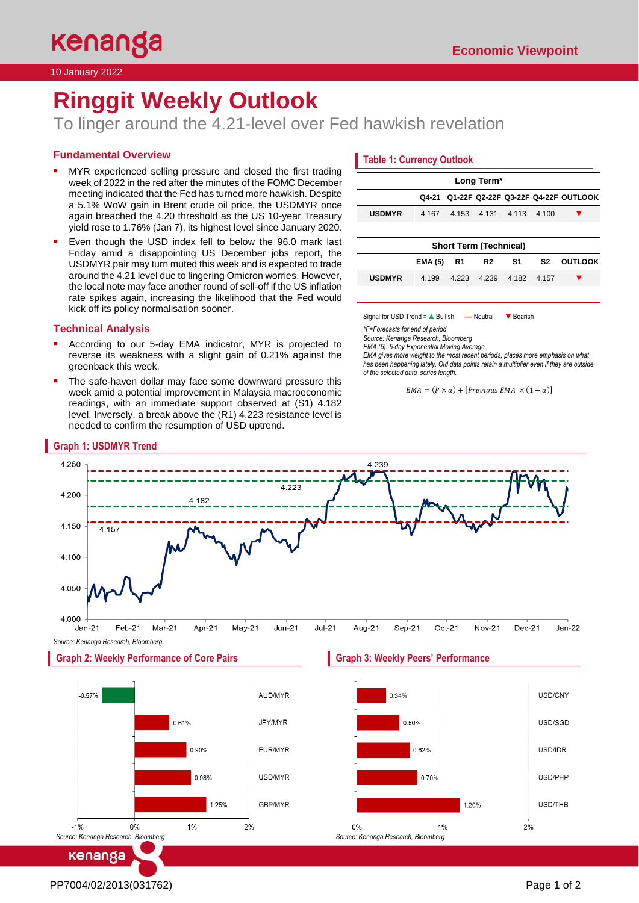10 January 2022

# **Ringgit Weekly Outlook**

To linger around the 4.21-level over Fed hawkish revelation

# **Fundamental Overview**

- MYR experienced selling pressure and closed the first trading week of 2022 in the red after the minutes of the FOMC December meeting indicated that the Fed has turned more hawkish. Despite a 5.1% WoW gain in Brent crude oil price, the USDMYR once again breached the 4.20 threshold as the US 10-year Treasury yield rose to 1.76% (Jan 7), its highest level since January 2020.
- Even though the USD index fell to below the 96.0 mark last Friday amid a disappointing US December jobs report, the USDMYR pair may turn muted this week and is expected to trade around the 4.21 level due to lingering Omicron worries. However, the local note may face another round of sell-off if the US inflation rate spikes again, increasing the likelihood that the Fed would kick off its policy normalisation sooner.

## **Technical Analysis**

**Graph 1: USDMYR Trend**

- According to our 5-day EMA indicator, MYR is projected to reverse its weakness with a slight gain of 0.21% against the greenback this week.
- The safe-haven dollar may face some downward pressure this week amid a potential improvement in Malaysia macroeconomic readings, with an immediate support observed at (S1) 4.182 level. Inversely, a break above the (R1) 4.223 resistance level is needed to confirm the resumption of USD uptrend.

# **Table 1: Currency Outlook**

| Long Term*                    |                |                |                |       |                |                                           |  |
|-------------------------------|----------------|----------------|----------------|-------|----------------|-------------------------------------------|--|
|                               |                |                |                |       |                | Q4-21 Q1-22F Q2-22F Q3-22F Q4-22F OUTLOOK |  |
| <b>USDMYR</b>                 | 4.167          | 4.153          | 4.131          | 4.113 | 4.100          |                                           |  |
|                               |                |                |                |       |                |                                           |  |
| <b>Short Term (Technical)</b> |                |                |                |       |                |                                           |  |
|                               | <b>EMA (5)</b> | R <sub>1</sub> | R <sub>2</sub> | S1    | S <sub>2</sub> | <b>OUTLOOK</b>                            |  |
| <b>USDMYR</b>                 | 4.199          | 4.223          | 4.239          | 4.182 | 4.157          |                                           |  |
|                               |                |                |                |       |                |                                           |  |

Signal for USD Trend = A Bullish — Neutral ▼ Bearish

*\*F=Forecasts for end of period* 

*Source: Kenanga Research, Bloomberg*

*EMA (5): 5-day Exponential Moving Average*

*EMA gives more weight to the most recent periods, places more emphasis on what has been happening lately. Old data points retain a multiplier even if they are outside of the selected data series length.*

```
EMA = (P \times \alpha) + [Previous EMA \times (1 - \alpha)]
```